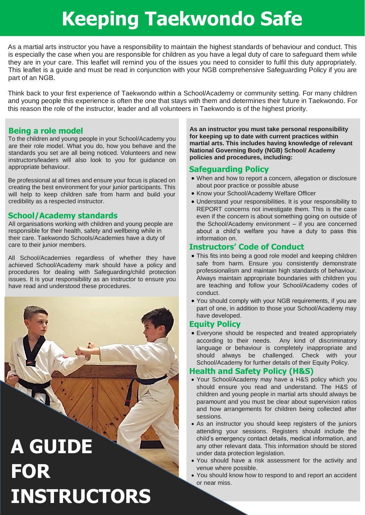# **Keeping Taekwondo Safe**

As a martial arts instructor you have a responsibility to maintain the highest standards of behaviour and conduct. This is especially the case when you are responsible for children as you have a legal duty of care to safeguard them while they are in your care. This leaflet will remind you of the issues you need to consider to fulfil this duty appropriately. This leaflet is a guide and must be read in conjunction with your NGB comprehensive Safeguarding Policy if you are part of an NGB.

Think back to your first experience of Taekwondo within a School/Academy or community setting. For many children and young people this experience is often the one that stays with them and determines their future in Taekwondo. For this reason the role of the instructor, leader and all volunteers in Taekwondo is of the highest priority.

#### **Being a role model**

To the children and young people in your School/Academy you are their role model. What you do, how you behave and the standards you set are all being noticed. Volunteers and new instructors/leaders will also look to you for guidance on appropriate behaviour.

Be professional at all times and ensure your focus is placed on creating the best environment for your junior participants. This will help to keep children safe from harm and build your credibility as a respected instructor.

#### **School/Academy standards**

All organisations working with children and young people are responsible for their health, safety and wellbeing while in their care. Taekwondo Schools/Academies have a duty of care to their junior members.

All School/Academies regardless of whether they have achieved School/Academy mark should have a policy and procedures for dealing with Safeguarding/child protection issues. It is your responsibility as an instructor to ensure you have read and understood these procedures.

**A GUIDE FOR INSTRUCTORS** **As an instructor you must take personal responsibility for keeping up to date with current practices within martial arts. This includes having knowledge of relevant National Governing Body (NGB) School/ Academy policies and procedures, including:** 

#### **Safeguarding Policy**

- When and how to report a concern, allegation or disclosure about poor practice or possible abuse
- Know your School/Academy Welfare Officer
- Understand your responsibilities. It is your responsibility to REPORT concerns not investigate them. This is the case even if the concern is about something going on outside of the School/Academy environment – if you are concerned about a child's welfare you have a duty to pass this information on.

#### **Instructors' Code of Conduct**

- This fits into being a good role model and keeping children safe from harm. Ensure you consistently demonstrate professionalism and maintain high standards of behaviour. Always maintain appropriate boundaries with children you are teaching and follow your School/Academy codes of conduct.
- You should comply with your NGB requirements, if you are part of one, in addition to those your School/Academy may have developed.

#### **Equity Policy**

 Everyone should be respected and treated appropriately according to their needs. Any kind of discriminatory language or behaviour is completely inappropriate and should always be challenged. Check with your School/Academy for further details of their Equity Policy.

#### **Health and Safety Policy (H&S)**

- Your School/Academy may have a H&S policy which you should ensure you read and understand. The H&S of children and young people in martial arts should always be paramount and you must be clear about supervision ratios and how arrangements for children being collected after sessions.
- As an instructor you should keep registers of the juniors attending your sessions. Registers should include the child's emergency contact details, medical information, and any other relevant data. This information should be stored under data protection legislation.
- You should have a risk assessment for the activity and venue where possible.
- You should know how to respond to and report an accident or near miss.